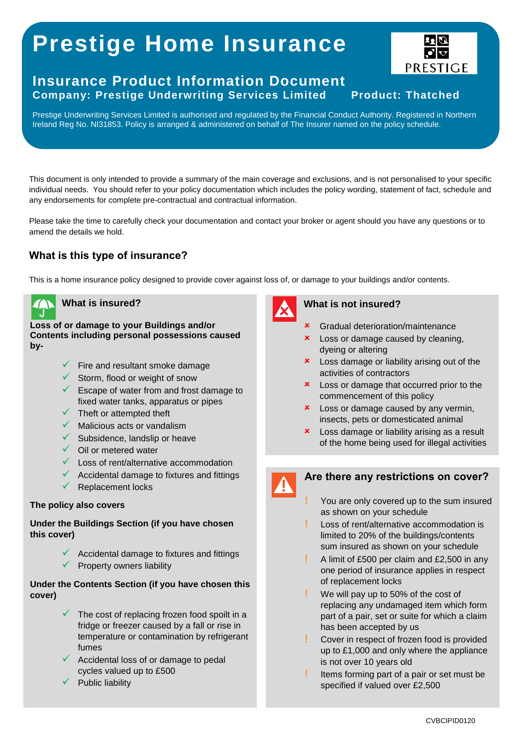# **Prestige Home Insurance**

# **Insurance Product Information Document Company: Prestige Underwriting Services Limited Product: Thatched**



Prestige Underwriting Services Limited is authorised and regulated by the Financial Conduct Authority. Registered in Northern Ireland Reg No. NI31853. Policy is arranged & administered on behalf of The Insurer named on the policy schedule.

This document is only intended to provide a summary of the main coverage and exclusions, and is not personalised to your specific individual needs. You should refer to your policy documentation which includes the policy wording, statement of fact, schedule and any endorsements for complete pre-contractual and contractual information.

Please take the time to carefully check your documentation and contact your broker or agent should you have any questions or to amend the details we hold.

# **What is this type of insurance?**

This is a home insurance policy designed to provide cover against loss of, or damage to your buildings and/or contents.

#### **What is insured?**

#### **Loss of or damage to your Buildings and/or Contents including personal possessions caused by-**

- $\checkmark$  Fire and resultant smoke damage
- $\checkmark$  Storm, flood or weight of snow
- $\checkmark$  Escape of water from and frost damage to fixed water tanks, apparatus or pipes
- $\checkmark$  Theft or attempted theft
- $\checkmark$  Malicious acts or vandalism
- $\checkmark$  Subsidence, landslip or heave
- $\checkmark$  Oil or metered water
- $\checkmark$  Loss of rent/alternative accommodation
- $\checkmark$  Accidental damage to fixtures and fittings
- Replacement locks

#### **The policy also covers**

#### **Under the Buildings Section (if you have chosen this cover)**

 Accidental damage to fixtures and fittings Property owners liability

#### **Under the Contents Section (if you have chosen this cover)**

- The cost of replacing frozen food spoilt in a fridge or freezer caused by a fall or rise in temperature or contamination by refrigerant fumes
- Accidental loss of or damage to pedal cycles valued up to £500
- $\checkmark$  Public liability



#### **What is not insured?**

- Gradual deterioration/maintenance
- **x** Loss or damage caused by cleaning, dyeing or altering
- **x** Loss damage or liability arising out of the activities of contractors
- **x** Loss or damage that occurred prior to the commencement of this policy
- **x** Loss or damage caused by any vermin, insects, pets or domesticated animal
- **x** Loss damage or liability arising as a result of the home being used for illegal activities

## **Are there any restrictions on cover?**

- **!** You are only covered up to the sum insured as shown on your schedule
- **!** Loss of rent/alternative accommodation is limited to 20% of the buildings/contents sum insured as shown on your schedule
- **!** A limit of £500 per claim and £2,500 in any one period of insurance applies in respect of replacement locks
- **!** We will pay up to 50% of the cost of replacing any undamaged item which form part of a pair, set or suite for which a claim has been accepted by us
- **!** Cover in respect of frozen food is provided up to £1,000 and only where the appliance is not over 10 years old
- **!** Items forming part of a pair or set must be specified if valued over £2,500